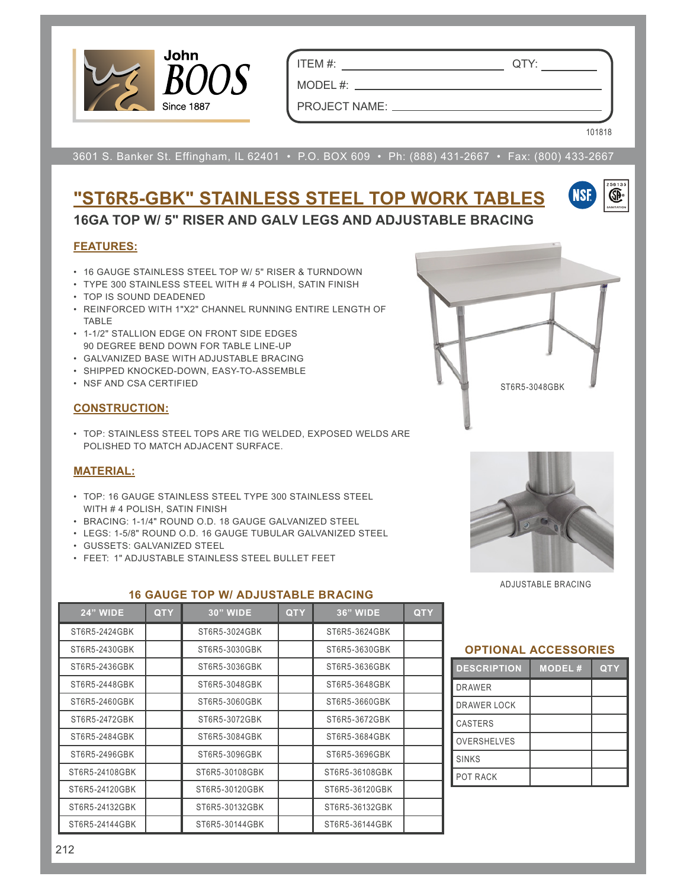

ITEM #: QTY:

MODEL #:

101818

(SP)

PROJECT NAME:

3601 S. Banker St. Effingham, IL 62401 • P.O. BOX 609 • Ph: (888) 431-2667 • Fax: (800) 433-2667

## **"ST6R5-GBK" STAINLESS STEEL TOP WORK TABLES 16GA TOP W/ 5" RISER AND GALV LEGS AND ADJUSTABLE BRACING**

#### **FEATURES:**

- 16 GAUGE STAINLESS STEEL TOP W/ 5" RISER & TURNDOWN
- TYPE 300 STAINLESS STEEL WITH # 4 POLISH, SATIN FINISH
- TOP IS SOUND DEADENED
- REINFORCED WITH 1"X2" CHANNEL RUNNING ENTIRE LENGTH OF TABLE
- 1-1/2" STALLION EDGE ON FRONT SIDE EDGES 90 DEGREE BEND DOWN FOR TABLE LINE-UP
- GALVANIZED BASE WITH ADJUSTABLE BRACING
- SHIPPED KNOCKED-DOWN, EASY-TO-ASSEMBLE
- NSF AND CSA CERTIFIED

#### **CONSTRUCTION:**

• TOP: STAINLESS STEEL TOPS ARE TIG WELDED, EXPOSED WELDS ARE POLISHED TO MATCH ADJACENT SURFACE.

#### **MATERIAL:**

- TOP: 16 GAUGE STAINLESS STEEL TYPE 300 STAINLESS STEEL WITH # 4 POLISH, SATIN FINISH
- BRACING: 1-1/4" ROUND O.D. 18 GAUGE GALVANIZED STEEL
- LEGS: 1-5/8" ROUND O.D. 16 GAUGE TUBULAR GALVANIZED STEEL
- GUSSETS: GALVANIZED STEEL
- FEET: 1" ADJUSTABLE STAINLESS STEEL BULLET FEET



ST6R5-3048GBK

ADJUSTABLE BRACING

| <b>24" WIDE</b> | <b>QTY</b> | <b>30" WIDE</b> | <b>QTY</b> | <b>36" WIDE</b> | <b>QTY</b> |
|-----------------|------------|-----------------|------------|-----------------|------------|
| ST6R5-2424GBK   |            | ST6R5-3024GBK   |            | ST6R5-3624GBK   |            |
| ST6R5-2430GBK   |            | ST6R5-3030GBK   |            | ST6R5-3630GBK   |            |
| ST6R5-2436GBK   |            | ST6R5-3036GBK   |            | ST6R5-3636GBK   |            |
| ST6R5-2448GBK   |            | ST6R5-3048GBK   |            | ST6R5-3648GBK   |            |
| ST6R5-2460GBK   |            | ST6R5-3060GBK   |            | ST6R5-3660GBK   |            |
| ST6R5-2472GBK   |            | ST6R5-3072GBK   |            | ST6R5-3672GBK   |            |
| ST6R5-2484GBK   |            | ST6R5-3084GBK   |            | ST6R5-3684GBK   |            |
| ST6R5-2496GBK   |            | ST6R5-3096GBK   |            | ST6R5-3696GBK   |            |
| ST6R5-24108GBK  |            | ST6R5-30108GBK  |            | ST6R5-36108GBK  |            |
| ST6R5-24120GBK  |            | ST6R5-30120GBK  |            | ST6R5-36120GBK  |            |
| ST6R5-24132GBK  |            | ST6R5-30132GBK  |            | ST6R5-36132GBK  |            |
| ST6R5-24144GBK  |            | ST6R5-30144GBK  |            | ST6R5-36144GBK  |            |

**16 GAUGE TOP W/ ADJUSTABLE BRACING**

#### **OPTIONAL ACCESSORIES**

| <b>DESCRIPTION</b> | <b>MODEL#</b> | <b>QTY</b> |
|--------------------|---------------|------------|
| <b>DRAWER</b>      |               |            |
| <b>DRAWER LOCK</b> |               |            |
| <b>CASTERS</b>     |               |            |
| <b>OVERSHELVES</b> |               |            |
| <b>SINKS</b>       |               |            |
| POT RACK           |               |            |